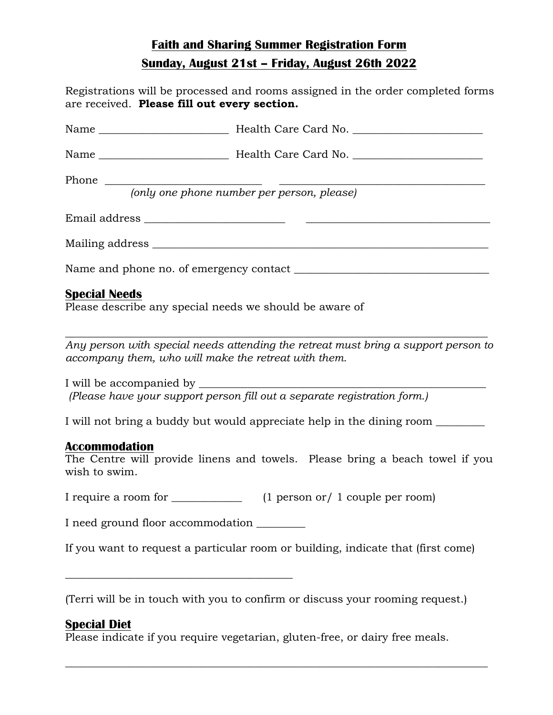# **Faith and Sharing Summer Registration Form Sunday, August 21st – Friday, August 26th 2022**

| Registrations will be processed and rooms assigned in the order completed forms<br>are received. Please fill out every section.            |
|--------------------------------------------------------------------------------------------------------------------------------------------|
|                                                                                                                                            |
|                                                                                                                                            |
| Phone $\overline{\hspace{2cm}}$ (only one phone number per person, please)                                                                 |
|                                                                                                                                            |
|                                                                                                                                            |
|                                                                                                                                            |
| <b>Special Needs</b><br>Please describe any special needs we should be aware of                                                            |
| Any person with special needs attending the retreat must bring a support person to<br>accompany them, who will make the retreat with them. |
| (Please have your support person fill out a separate registration form.)                                                                   |
| I will not bring a buddy but would appreciate help in the dining room __________                                                           |
| <b>Accommodation</b><br>The Centre will provide linens and towels. Please bring a beach towel if you<br>wish to swim.                      |
| I require a room for ______________<br>$(1$ person or $/ 1$ couple per room)                                                               |
| I need ground floor accommodation _______                                                                                                  |
| If you want to request a particular room or building, indicate that (first come)                                                           |

(Terri will be in touch with you to confirm or discuss your rooming request.)

\_\_\_\_\_\_\_\_\_\_\_\_\_\_\_\_\_\_\_\_\_\_\_\_\_\_\_\_\_\_\_\_\_\_\_\_\_\_\_\_\_\_\_\_\_\_\_\_\_\_\_\_\_\_\_\_\_\_\_\_\_\_\_\_\_\_\_\_\_\_\_\_\_\_\_\_\_\_

# **Special Diet**

Please indicate if you require vegetarian, gluten-free, or dairy free meals.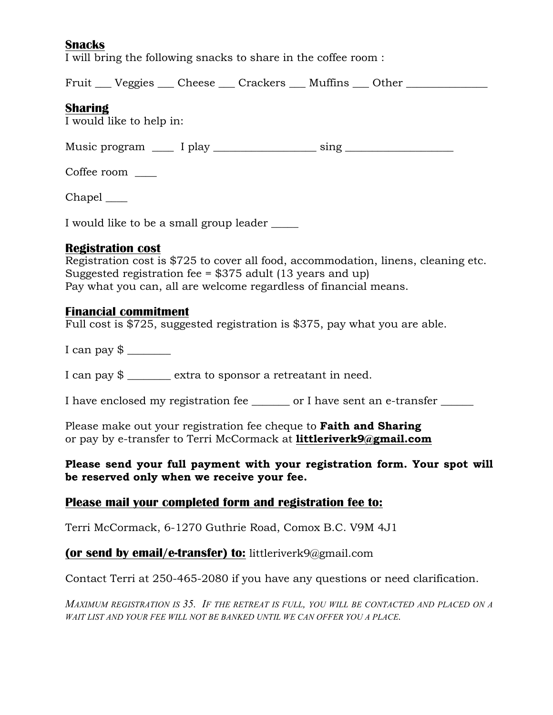# **Snacks**

I will bring the following snacks to share in the coffee room :

Fruit Ludeggies Ludeges Ludeges Ludeges Ludeges Ludeges Ludeges Ludeges Ludeges Australian Dengins Ludeges Den

## **Sharing**

I would like to help in:

Music program \_\_\_\_\_ I play \_\_\_\_\_\_\_\_\_\_\_\_\_\_\_\_\_\_\_\_\_\_\_ sing \_\_\_\_\_\_\_\_\_\_\_\_\_\_\_\_\_\_\_\_\_\_\_\_

Coffee room \_\_\_\_

Chapel

I would like to be a small group leader \_\_\_\_\_

### **Registration cost**

Registration cost is \$725 to cover all food, accommodation, linens, cleaning etc. Suggested registration fee = \$375 adult (13 years and up) Pay what you can, all are welcome regardless of financial means.

### **Financial commitment**

Full cost is \$725, suggested registration is \$375, pay what you are able.

I can pay  $\frac{1}{2}$ 

I can pay \$ \_\_\_\_\_\_\_\_ extra to sponsor a retreatant in need.

I have enclosed my registration fee \_\_\_\_\_\_\_ or I have sent an e-transfer \_\_\_\_\_\_

Please make out your registration fee cheque to **Faith and Sharing** or pay by e-transfer to Terri McCormack at **littleriverk9@gmail.com**

### **Please send your full payment with your registration form. Your spot will be reserved only when we receive your fee.**

# **Please mail your completed form and registration fee to:**

Terri McCormack, 6-1270 Guthrie Road, Comox B.C. V9M 4J1

# **(or send by email/e-transfer) to:** littleriverk9@gmail.com

Contact Terri at 250-465-2080 if you have any questions or need clarification.

*MAXIMUM REGISTRATION IS 35. IF THE RETREAT IS FULL, YOU WILL BE CONTACTED AND PLACED ON A WAIT LIST AND YOUR FEE WILL NOT BE BANKED UNTIL WE CAN OFFER YOU A PLACE.*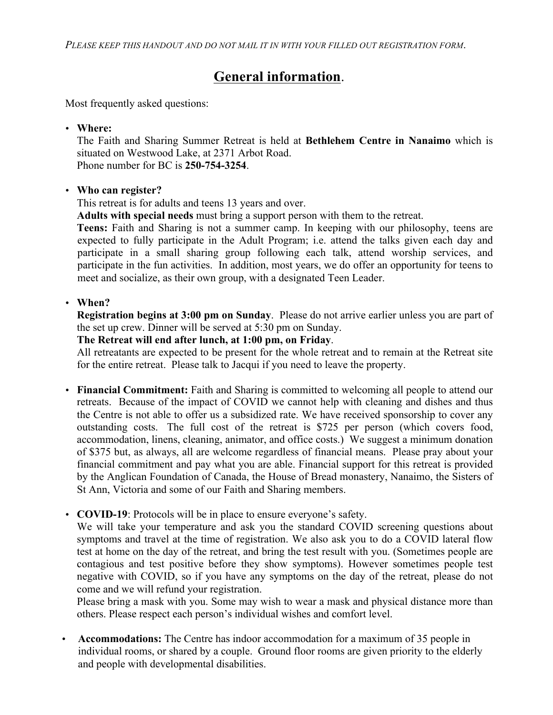# **General information**.

Most frequently asked questions:

• **Where:** 

The Faith and Sharing Summer Retreat is held at **Bethlehem Centre in Nanaimo** which is situated on Westwood Lake, at 2371 Arbot Road. Phone number for BC is **250-754-3254**.

### • **Who can register?**

This retreat is for adults and teens 13 years and over.

**Adults with special needs** must bring a support person with them to the retreat.

**Teens:** Faith and Sharing is not a summer camp. In keeping with our philosophy, teens are expected to fully participate in the Adult Program; i.e. attend the talks given each day and participate in a small sharing group following each talk, attend worship services, and participate in the fun activities. In addition, most years, we do offer an opportunity for teens to meet and socialize, as their own group, with a designated Teen Leader.

### • **When?**

**Registration begins at 3:00 pm on Sunday**. Please do not arrive earlier unless you are part of the set up crew. Dinner will be served at 5:30 pm on Sunday.

# **The Retreat will end after lunch, at 1:00 pm, on Friday**.

All retreatants are expected to be present for the whole retreat and to remain at the Retreat site for the entire retreat. Please talk to Jacqui if you need to leave the property.

- **Financial Commitment:** Faith and Sharing is committed to welcoming all people to attend our retreats. Because of the impact of COVID we cannot help with cleaning and dishes and thus the Centre is not able to offer us a subsidized rate. We have received sponsorship to cover any outstanding costs. The full cost of the retreat is \$725 per person (which covers food, accommodation, linens, cleaning, animator, and office costs.) We suggest a minimum donation of \$375 but, as always, all are welcome regardless of financial means. Please pray about your financial commitment and pay what you are able. Financial support for this retreat is provided by the Anglican Foundation of Canada, the House of Bread monastery, Nanaimo, the Sisters of St Ann, Victoria and some of our Faith and Sharing members.
- **COVID-19**: Protocols will be in place to ensure everyone's safety.

We will take your temperature and ask you the standard COVID screening questions about symptoms and travel at the time of registration. We also ask you to do a COVID lateral flow test at home on the day of the retreat, and bring the test result with you. (Sometimes people are contagious and test positive before they show symptoms). However sometimes people test negative with COVID, so if you have any symptoms on the day of the retreat, please do not come and we will refund your registration.

Please bring a mask with you. Some may wish to wear a mask and physical distance more than others. Please respect each person's individual wishes and comfort level.

• **Accommodations:** The Centre has indoor accommodation for a maximum of 35 people in individual rooms, or shared by a couple. Ground floor rooms are given priority to the elderly and people with developmental disabilities.